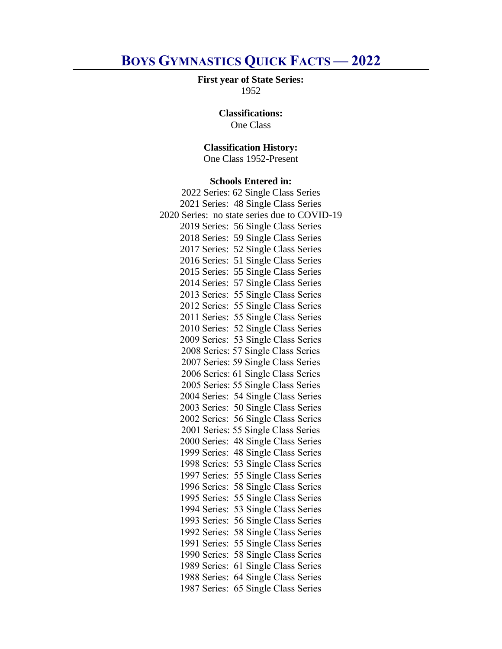# **BOYS GYMNASTICS QUICK FACTS — 2022**

#### **First year of State Series:** 1952

## **Classifications:**

One Class

# **Classification History:**

One Class 1952-Present

#### **Schools Entered in:**

| 2022 Series: 62 Single Class Series          |
|----------------------------------------------|
| 2021 Series: 48 Single Class Series          |
| 2020 Series: no state series due to COVID-19 |
| 2019 Series: 56 Single Class Series          |
| 2018 Series:<br>59 Single Class Series       |
| 52 Single Class Series<br>2017 Series:       |
| 51 Single Class Series<br>2016 Series:       |
| 55 Single Class Series<br>2015 Series:       |
| 57 Single Class Series<br>2014 Series:       |
| 2013 Series: 55 Single Class Series          |
| 2012 Series: 55 Single Class Series          |
| 2011 Series: 55 Single Class Series          |
| 2010 Series: 52 Single Class Series          |
| 2009 Series: 53 Single Class Series          |
| 2008 Series: 57 Single Class Series          |
| 2007 Series: 59 Single Class Series          |
| 2006 Series: 61 Single Class Series          |
| 2005 Series: 55 Single Class Series          |
| 54 Single Class Series<br>2004 Series:       |
| 2003 Series: 50 Single Class Series          |
| 2002 Series: 56 Single Class Series          |
| 2001 Series: 55 Single Class Series          |
| 2000 Series:<br>48 Single Class Series       |
| 48 Single Class Series<br>1999 Series:       |
| 1998 Series:<br>53 Single Class Series       |
| 1997 Series:<br>55 Single Class Series       |
| 1996 Series:<br>58 Single Class Series       |
| 1995 Series:<br>55 Single Class Series       |
| 53 Single Class Series<br>1994 Series:       |
| 1993 Series:<br>56 Single Class Series       |
| 58 Single Class Series<br>1992 Series:       |
| 55 Single Class Series<br>1991 Series:       |
| 58 Single Class Series<br>1990 Series:       |
| 61 Single Class Series<br>1989 Series:       |
| 64 Single Class Series<br>1988 Series:       |
| 65 Single Class Series<br>1987 Series:       |